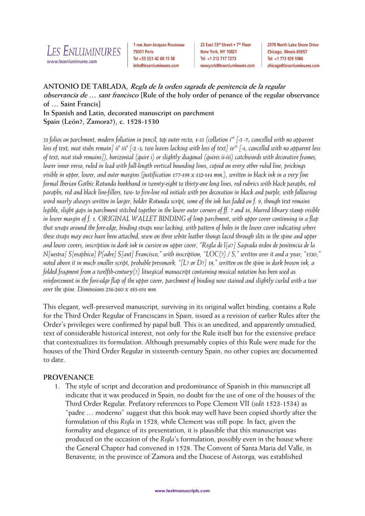

1 rue Jean-Jacques Rousseau **75001 Paris** Tel +33 (0)1 42 60 15 58 info@lesenluminures.com

23 East 73rd Street . 7th Floor New York, NY 10021 Tel +1 212 717 7273 newyork@lesenluminures.com

2970 North Lake Shore Drive Chicago, Illinois 60657 Tel +1 773 929 5986 chicago@lesenluminures.com

# **ANTONIO DE TABLADA, Regla de la orden sagrada de penitencia de la regular observancia de … sant francisco [Rule of the holy order of penance of the regular observance of … Saint Francis]**

**In Spanish and Latin, decorated manuscript on parchment Spain (León?, Zamora?), c. 1528-1530**

33 folios on parchment, modern foliation in pencil, top outer recto, 1-33 (collation i<sup>10</sup> [-5 -7, cancelled with no apparent loss of text; neat stubs remain] ii<sup>8</sup> iii<sup>8</sup> [-2 -3; two leaves lacking with loss of text] iv<sup>12</sup> [-1; cancelled with no apparent loss *of text; neat stub remains]), horizontal (quire i) or slightly diagonal (quires ii-iii) catchwords with decorative frames, lower inner verso, ruled in lead with full-length vertical bounding lines, copied on every other ruled line, prickings visible in upper, lower, and outer margins (justification 177-198 x 132-144 mm.), written in black ink in a very fine formal Iberian Gothic Rotunda bookhand in twenty-eight to thirty-one long lines, red rubrics with black paraphs, red paraphs, red and black line-fillers, two- to five-line red initials with pen decoration in black and purple, with following word nearly always written in larger, bolder Rotunda script, some of the ink has faded on f. 9, though text remains legible, slight gaps in parchment stitched together in the lower outer corners of ff. 7 and 16, blurred library stamp visible in lower margin of f. 1. ORIGINAL WALLET BINDING of limp parchment, with upper cover continuing in a flap that wraps around the fore-edge, binding straps now lacking, with pattern of holes in the lower cover indicating where these straps may once have been attached, sewn on three white leather thongs laced through slits in the spine and upper and lower covers, inscription in dark ink in cursive on upper cover, "Regla de l[a?] Sagrada orden de penitencia de la N[uestra] S[eraphica] P[adre] S[ant] Francisco," with inscription, "LOC(?) / S," written over it and a year, "1530," noted above it in much smaller script, probable pressmark, "[L? or D?] 18," written on the spine in dark brown ink, a folded fragment from a twelfth-century(?) liturgical manuscript containing musical notation has been used as reinforcement in the fore-edge flap of the upper cover, parchment of binding now stained and slightly curled with a tear over the spine. Dimensions 256-260 x 185-191 mm.*

This elegant, well-preserved manuscript, surviving in its original wallet binding, contains a Rule for the Third Order Regular of Franciscans in Spain, issued as a revision of earlier Rules after the Order's privileges were confirmed by papal bull. This is an unedited, and apparently unstudied, text of considerable historical interest, not only for the Rule itself but for the extensive preface that contextualizes its formulation. Although presumably copies of this Rule were made for the houses of the Third Order Regular in sixteenth-century Spain, no other copies are documented to date.

## **PROVENANCE**

1. The style of script and decoration and predominance of Spanish in this manuscript all indicate that it was produced in Spain, no doubt for the use of one of the houses of the Third Order Regular. Prefatory references to Pope Clement VII (*sedit* 1523-1534) as "padre … moderno" suggest that this book may well have been copied shortly after the formulation of this *Regla* in 1528, while Clement was still pope. In fact, given the formality and elegance of its presentation, it is plausible that this manuscript was produced on the occasion of the *Regla*'s formulation, possibly even in the house where the General Chapter had convened in 1528. The Convent of Santa Maria del Valle, in Benavente, in the province of Zamora and the Diocese of Astorga, was established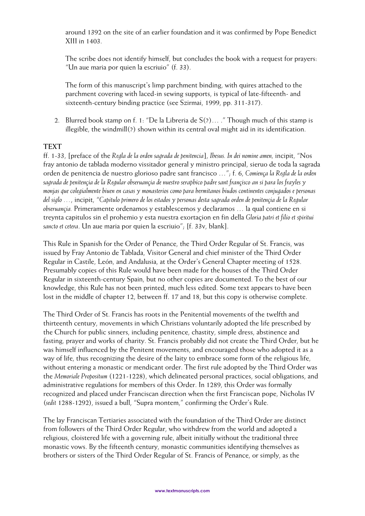around 1392 on the site of an earlier foundation and it was confirmed by Pope Benedict XIII in 1403.

The scribe does not identify himself, but concludes the book with a request for prayers: "Un aue maria por quien la escriuio" (f. 33).

The form of this manuscript's limp parchment binding, with quires attached to the parchment covering with laced-in sewing supports, is typical of late-fifteenth- and sixteenth-century binding practice (see Szirmai, 1999, pp. 311-317).

2. Blurred book stamp on f. 1: "De la Libreria de S(?)… ." Though much of this stamp is illegible, the windmill(?) shown within its central oval might aid in its identification.

### **TEXT**

ff. 1-33, [preface of the *Regla de la orden sagrada de penitencia*], *Ihesus. In dei nomine amen,* incipit, "Nos fray antonio de tablada moderno vissitador general y ministro principal, sieruo de toda la sagrada orden de penitencia de nuestro glorioso padre sant francisco …"; f. 6, *Comiença la Regla de la orden sagrada de penitençia de la Regular obseruançia de nuestro seraphico padre sant françisco an si para los frayles y monjas que colegialmente biuen en casas y monasterios como para hermitanos biudos continentes conjugados e personas del siglo …*, incipit, "*Capitulo primero de los estados y personas desta sagrada orden de penitençia de la Regular obseruançia.* Primeramente ordenamos y establescemos y declaramos … la qual contiene en si treynta capitulos sin el prohemio y esta nuestra exortaçion en fin della *Gloria patri et filio et spiritui sancto et cetera*. Un aue maria por quien la escriuio"; [f. 33v, blank].

This Rule in Spanish for the Order of Penance, the Third Order Regular of St. Francis, was issued by Fray Antonio de Tablada, Visitor General and chief minister of the Third Order Regular in Castile, León, and Andalusia, at the Order's General Chapter meeting of 1528. Presumably copies of this Rule would have been made for the houses of the Third Order Regular in sixteenth-century Spain, but no other copies are documented. To the best of our knowledge, this Rule has not been printed, much less edited. Some text appears to have been lost in the middle of chapter 12, between ff. 17 and 18, but this copy is otherwise complete.

The Third Order of St. Francis has roots in the Penitential movements of the twelfth and thirteenth century, movements in which Christians voluntarily adopted the life prescribed by the Church for public sinners, including penitence, chastity, simple dress, abstinence and fasting, prayer and works of charity. St. Francis probably did not create the Third Order, but he was himself influenced by the Penitent movements, and encouraged those who adopted it as a way of life, thus recognizing the desire of the laity to embrace some form of the religious life, without entering a monastic or mendicant order. The first rule adopted by the Third Order was the *Memoriale Propositum* (1221-1228), which delineated personal practices, social obligations, and administrative regulations for members of this Order. In 1289, this Order was formally recognized and placed under Franciscan direction when the first Franciscan pope, Nicholas IV (*sedit* 1288-1292), issued a bull, "Supra montem," confirming the Order's Rule.

The lay Franciscan Tertiaries associated with the foundation of the Third Order are distinct from followers of the Third Order Regular, who withdrew from the world and adopted a religious, cloistered life with a governing rule, albeit initially without the traditional three monastic vows. By the fifteenth century, monastic communities identifying themselves as brothers or sisters of the Third Order Regular of St. Francis of Penance, or simply, as the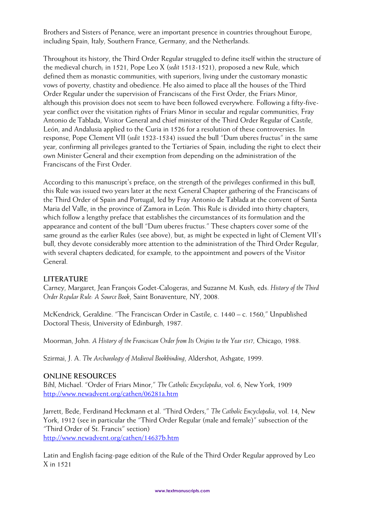Brothers and Sisters of Penance, were an important presence in countries throughout Europe, including Spain, Italy, Southern France, Germany, and the Netherlands.

Throughout its history, the Third Order Regular struggled to define itself within the structure of the medieval church; in 1521, Pope Leo X (*sedit* 1513-1521), proposed a new Rule, which defined them as monastic communities, with superiors, living under the customary monastic vows of poverty, chastity and obedience. He also aimed to place all the houses of the Third Order Regular under the supervision of Franciscans of the First Order, the Friars Minor, although this provision does not seem to have been followed everywhere. Following a fifty-fiveyear conflict over the visitation rights of Friars Minor in secular and regular communities, Fray Antonio de Tablada, Visitor General and chief minister of the Third Order Regular of Castile, León, and Andalusia applied to the Curia in 1526 for a resolution of these controversies. In response, Pope Clement VII (*sedit* 1523-1534) issued the bull "Dum uberes fructus" in the same year, confirming all privileges granted to the Tertiaries of Spain, including the right to elect their own Minister General and their exemption from depending on the administration of the Franciscans of the First Order.

According to this manuscript's preface, on the strength of the privileges confirmed in this bull, this Rule was issued two years later at the next General Chapter gathering of the Franciscans of the Third Order of Spain and Portugal, led by Fray Antonio de Tablada at the convent of Santa Maria del Valle, in the province of Zamora in León. This Rule is divided into thirty chapters, which follow a lengthy preface that establishes the circumstances of its formulation and the appearance and content of the bull "Dum uberes fructus." These chapters cover some of the same ground as the earlier Rules (see above), but, as might be expected in light of Clement VII's bull, they devote considerably more attention to the administration of the Third Order Regular, with several chapters dedicated, for example, to the appointment and powers of the Visitor General.

## **LITERATURE**

Carney, Margaret, Jean François Godet-Calogeras, and Suzanne M. Kush, eds. *History of the Third Order Regular Rule: A Source Book*, Saint Bonaventure, NY, 2008.

McKendrick, Geraldine. "The Franciscan Order in Castile, c. 1440 – c. 1560," Unpublished Doctoral Thesis, University of Edinburgh, 1987.

Moorman, John. *A History of the Franciscan Order from Its Origins to the Year 1517,* Chicago, 1988.

Szirmai, J. A. *The Archaeology of Medieval Bookbinding*, Aldershot, Ashgate, 1999.

#### **ONLINE RESOURCES**

Bihl, Michael. "Order of Friars Minor," *The Catholic Encyclopedia*, vol. 6, New York, 1909 <http://www.newadvent.org/cathen/06281a.htm>

Jarrett, Bede, Ferdinand Heckmann et al. "Third Orders," *The Catholic Encyclopedia*, vol. 14, New York, 1912 (see in particular the "Third Order Regular (male and female)" subsection of the "Third Order of St. Francis" section) <http://www.newadvent.org/cathen/14637b.htm>

Latin and English facing-page edition of the Rule of the Third Order Regular approved by Leo X in 1521